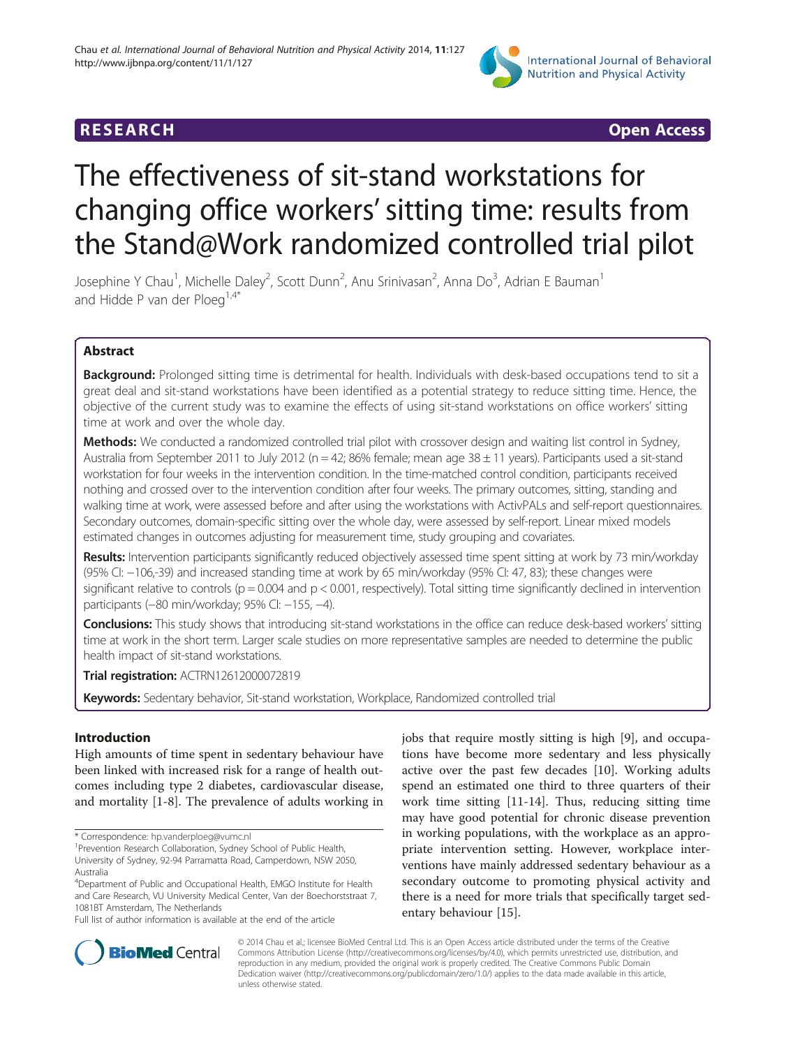

# **RESEARCH CHING CONSTRUCTED ACCESS**

# The effectiveness of sit-stand workstations for changing office workers' sitting time: results from the Stand@Work randomized controlled trial pilot

Josephine Y Chau<sup>1</sup>, Michelle Daley<sup>2</sup>, Scott Dunn<sup>2</sup>, Anu Srinivasan<sup>2</sup>, Anna Do<sup>3</sup>, Adrian E Bauman<sup>1</sup> and Hidde P van der Ploeg<sup>1,4\*</sup>

# Abstract

**Background:** Prolonged sitting time is detrimental for health. Individuals with desk-based occupations tend to sit a great deal and sit-stand workstations have been identified as a potential strategy to reduce sitting time. Hence, the objective of the current study was to examine the effects of using sit-stand workstations on office workers' sitting time at work and over the whole day.

Methods: We conducted a randomized controlled trial pilot with crossover design and waiting list control in Sydney, Australia from September 2011 to July 2012 (n = 42; 86% female; mean age  $38 \pm 11$  years). Participants used a sit-stand workstation for four weeks in the intervention condition. In the time-matched control condition, participants received nothing and crossed over to the intervention condition after four weeks. The primary outcomes, sitting, standing and walking time at work, were assessed before and after using the workstations with ActivPALs and self-report questionnaires. Secondary outcomes, domain-specific sitting over the whole day, were assessed by self-report. Linear mixed models estimated changes in outcomes adjusting for measurement time, study grouping and covariates.

Results: Intervention participants significantly reduced objectively assessed time spent sitting at work by 73 min/workday (95% CI: −106,-39) and increased standing time at work by 65 min/workday (95% CI: 47, 83); these changes were significant relative to controls (p = 0.004 and p < 0.001, respectively). Total sitting time significantly declined in intervention participants (-80 min/workday; 95% CI: -155, -4).

Conclusions: This study shows that introducing sit-stand workstations in the office can reduce desk-based workers' sitting time at work in the short term. Larger scale studies on more representative samples are needed to determine the public health impact of sit-stand workstations.

Trial registration: [ACTRN12612000072819](https://www.anzctr.org.au/Trial/Registration/TrialReview.aspx?ACTRN=12612000072819)

Keywords: Sedentary behavior, Sit-stand workstation, Workplace, Randomized controlled trial

# Introduction

High amounts of time spent in sedentary behaviour have been linked with increased risk for a range of health outcomes including type 2 diabetes, cardiovascular disease, and mortality [[1-8](#page-8-0)]. The prevalence of adults working in

Full list of author information is available at the end of the article

jobs that require mostly sitting is high [\[9](#page-8-0)], and occupations have become more sedentary and less physically active over the past few decades [\[10\]](#page-8-0). Working adults spend an estimated one third to three quarters of their work time sitting [\[11](#page-8-0)-[14](#page-8-0)]. Thus, reducing sitting time may have good potential for chronic disease prevention in working populations, with the workplace as an appropriate intervention setting. However, workplace interventions have mainly addressed sedentary behaviour as a secondary outcome to promoting physical activity and there is a need for more trials that specifically target sedentary behaviour [[15](#page-8-0)].



© 2014 Chau et al.; licensee BioMed Central Ltd. This is an Open Access article distributed under the terms of the Creative Commons Attribution License [\(http://creativecommons.org/licenses/by/4.0\)](http://creativecommons.org/licenses/by/4.0), which permits unrestricted use, distribution, and reproduction in any medium, provided the original work is properly credited. The Creative Commons Public Domain Dedication waiver [\(http://creativecommons.org/publicdomain/zero/1.0/](http://creativecommons.org/publicdomain/zero/1.0/)) applies to the data made available in this article, unless otherwise stated.

<sup>\*</sup> Correspondence: [hp.vanderploeg@vumc.nl](mailto:hp.vanderploeg@vumc.nl) <sup>1</sup>

<sup>&</sup>lt;sup>1</sup> Prevention Research Collaboration, Sydney School of Public Health, University of Sydney, 92-94 Parramatta Road, Camperdown, NSW 2050, Australia

<sup>&</sup>lt;sup>4</sup>Department of Public and Occupational Health, EMGO Institute for Health and Care Research, VU University Medical Center, Van der Boechorststraat 7, 1081BT Amsterdam, The Netherlands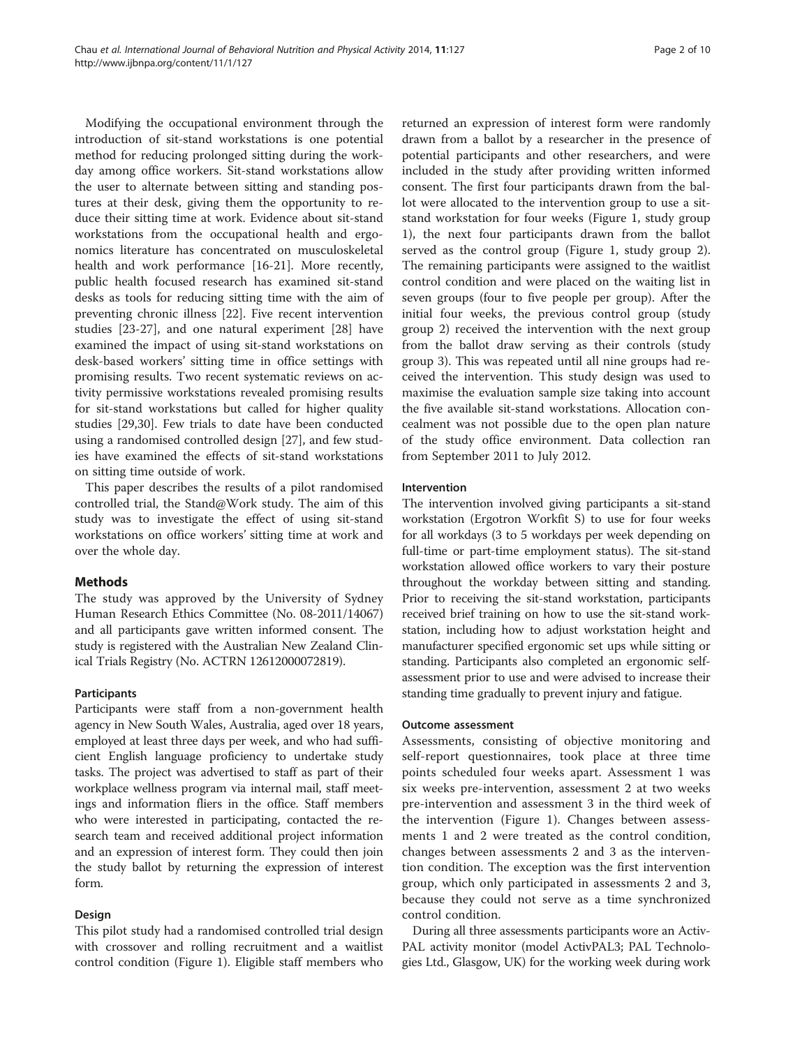Modifying the occupational environment through the introduction of sit-stand workstations is one potential method for reducing prolonged sitting during the workday among office workers. Sit-stand workstations allow the user to alternate between sitting and standing postures at their desk, giving them the opportunity to reduce their sitting time at work. Evidence about sit-stand workstations from the occupational health and ergonomics literature has concentrated on musculoskeletal health and work performance [\[16-21](#page-8-0)]. More recently, public health focused research has examined sit-stand desks as tools for reducing sitting time with the aim of preventing chronic illness [\[22](#page-8-0)]. Five recent intervention studies [[23-27](#page-8-0)], and one natural experiment [\[28\]](#page-8-0) have examined the impact of using sit-stand workstations on desk-based workers' sitting time in office settings with promising results. Two recent systematic reviews on activity permissive workstations revealed promising results for sit-stand workstations but called for higher quality studies [\[29,30\]](#page-8-0). Few trials to date have been conducted using a randomised controlled design [\[27](#page-8-0)], and few studies have examined the effects of sit-stand workstations on sitting time outside of work.

This paper describes the results of a pilot randomised controlled trial, the Stand@Work study. The aim of this study was to investigate the effect of using sit-stand workstations on office workers' sitting time at work and over the whole day.

# Methods

The study was approved by the University of Sydney Human Research Ethics Committee (No. 08-2011/14067) and all participants gave written informed consent. The study is registered with the Australian New Zealand Clinical Trials Registry (No. ACTRN 12612000072819).

#### Participants

Participants were staff from a non-government health agency in New South Wales, Australia, aged over 18 years, employed at least three days per week, and who had sufficient English language proficiency to undertake study tasks. The project was advertised to staff as part of their workplace wellness program via internal mail, staff meetings and information fliers in the office. Staff members who were interested in participating, contacted the research team and received additional project information and an expression of interest form. They could then join the study ballot by returning the expression of interest form.

# Design

This pilot study had a randomised controlled trial design with crossover and rolling recruitment and a waitlist control condition (Figure [1](#page-2-0)). Eligible staff members who

returned an expression of interest form were randomly drawn from a ballot by a researcher in the presence of potential participants and other researchers, and were included in the study after providing written informed consent. The first four participants drawn from the ballot were allocated to the intervention group to use a sitstand workstation for four weeks (Figure [1](#page-2-0), study group 1), the next four participants drawn from the ballot served as the control group (Figure [1,](#page-2-0) study group 2). The remaining participants were assigned to the waitlist control condition and were placed on the waiting list in seven groups (four to five people per group). After the initial four weeks, the previous control group (study group 2) received the intervention with the next group from the ballot draw serving as their controls (study group 3). This was repeated until all nine groups had received the intervention. This study design was used to maximise the evaluation sample size taking into account the five available sit-stand workstations. Allocation concealment was not possible due to the open plan nature of the study office environment. Data collection ran from September 2011 to July 2012.

#### Intervention

The intervention involved giving participants a sit-stand workstation (Ergotron Workfit S) to use for four weeks for all workdays (3 to 5 workdays per week depending on full-time or part-time employment status). The sit-stand workstation allowed office workers to vary their posture throughout the workday between sitting and standing. Prior to receiving the sit-stand workstation, participants received brief training on how to use the sit-stand workstation, including how to adjust workstation height and manufacturer specified ergonomic set ups while sitting or standing. Participants also completed an ergonomic selfassessment prior to use and were advised to increase their standing time gradually to prevent injury and fatigue.

#### Outcome assessment

Assessments, consisting of objective monitoring and self-report questionnaires, took place at three time points scheduled four weeks apart. Assessment 1 was six weeks pre-intervention, assessment 2 at two weeks pre-intervention and assessment 3 in the third week of the intervention (Figure [1](#page-2-0)). Changes between assessments 1 and 2 were treated as the control condition, changes between assessments 2 and 3 as the intervention condition. The exception was the first intervention group, which only participated in assessments 2 and 3, because they could not serve as a time synchronized control condition.

During all three assessments participants wore an Activ-PAL activity monitor (model ActivPAL3; PAL Technologies Ltd., Glasgow, UK) for the working week during work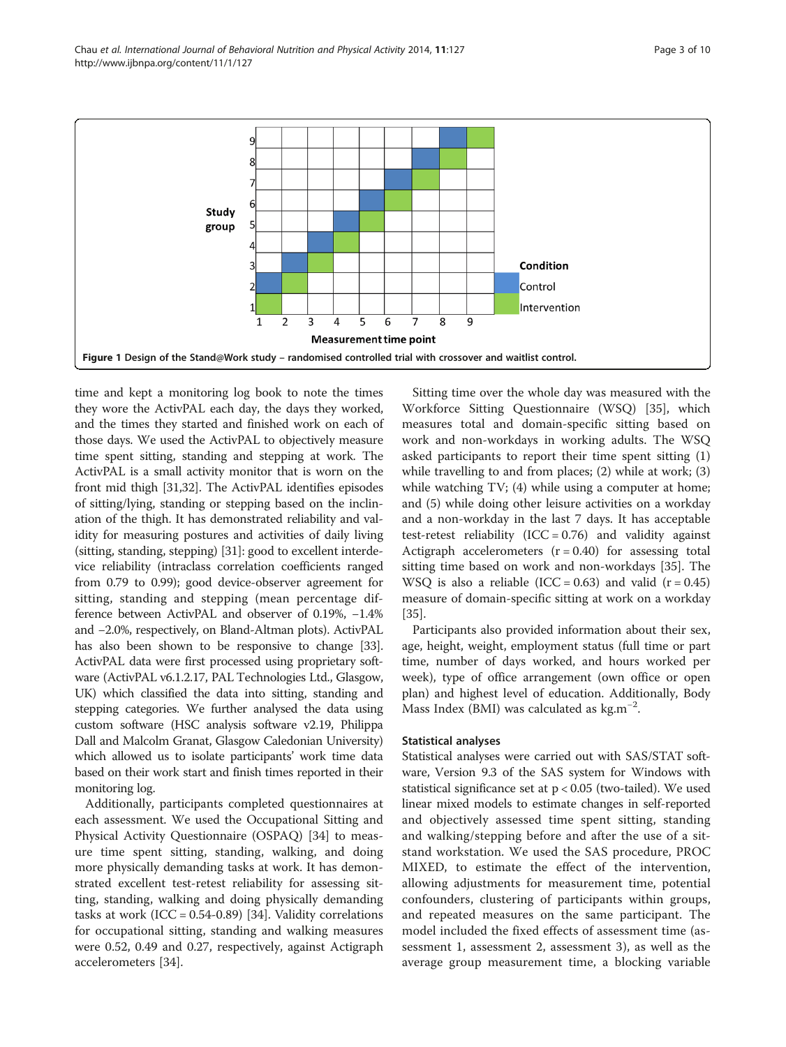<span id="page-2-0"></span>

time and kept a monitoring log book to note the times they wore the ActivPAL each day, the days they worked, and the times they started and finished work on each of those days. We used the ActivPAL to objectively measure time spent sitting, standing and stepping at work. The ActivPAL is a small activity monitor that is worn on the front mid thigh [\[31,32\]](#page-8-0). The ActivPAL identifies episodes of sitting/lying, standing or stepping based on the inclination of the thigh. It has demonstrated reliability and validity for measuring postures and activities of daily living (sitting, standing, stepping) [[31](#page-8-0)]: good to excellent interdevice reliability (intraclass correlation coefficients ranged from 0.79 to 0.99); good device-observer agreement for sitting, standing and stepping (mean percentage difference between ActivPAL and observer of 0.19%, −1.4% and −2.0%, respectively, on Bland-Altman plots). ActivPAL has also been shown to be responsive to change [\[33](#page-8-0)]. ActivPAL data were first processed using proprietary software (ActivPAL v6.1.2.17, PAL Technologies Ltd., Glasgow, UK) which classified the data into sitting, standing and stepping categories. We further analysed the data using custom software (HSC analysis software v2.19, Philippa Dall and Malcolm Granat, Glasgow Caledonian University) which allowed us to isolate participants' work time data based on their work start and finish times reported in their monitoring log.

Additionally, participants completed questionnaires at each assessment. We used the Occupational Sitting and Physical Activity Questionnaire (OSPAQ) [[34\]](#page-8-0) to measure time spent sitting, standing, walking, and doing more physically demanding tasks at work. It has demonstrated excellent test-retest reliability for assessing sitting, standing, walking and doing physically demanding tasks at work  $(ICC = 0.54-0.89)$  [\[34\]](#page-8-0). Validity correlations for occupational sitting, standing and walking measures were 0.52, 0.49 and 0.27, respectively, against Actigraph accelerometers [[34\]](#page-8-0).

Sitting time over the whole day was measured with the Workforce Sitting Questionnaire (WSQ) [\[35](#page-8-0)], which measures total and domain-specific sitting based on work and non-workdays in working adults. The WSQ asked participants to report their time spent sitting (1) while travelling to and from places; (2) while at work; (3) while watching TV; (4) while using a computer at home; and (5) while doing other leisure activities on a workday and a non-workday in the last 7 days. It has acceptable test-retest reliability  $(ICC = 0.76)$  and validity against Actigraph accelerometers  $(r = 0.40)$  for assessing total sitting time based on work and non-workdays [[35\]](#page-8-0). The WSO is also a reliable (ICC = 0.63) and valid  $(r = 0.45)$ measure of domain-specific sitting at work on a workday [[35\]](#page-8-0).

Participants also provided information about their sex, age, height, weight, employment status (full time or part time, number of days worked, and hours worked per week), type of office arrangement (own office or open plan) and highest level of education. Additionally, Body Mass Index (BMI) was calculated as kg.m−<sup>2</sup> .

#### Statistical analyses

Statistical analyses were carried out with SAS/STAT software, Version 9.3 of the SAS system for Windows with statistical significance set at p < 0.05 (two-tailed). We used linear mixed models to estimate changes in self-reported and objectively assessed time spent sitting, standing and walking/stepping before and after the use of a sitstand workstation. We used the SAS procedure, PROC MIXED, to estimate the effect of the intervention, allowing adjustments for measurement time, potential confounders, clustering of participants within groups, and repeated measures on the same participant. The model included the fixed effects of assessment time (assessment 1, assessment 2, assessment 3), as well as the average group measurement time, a blocking variable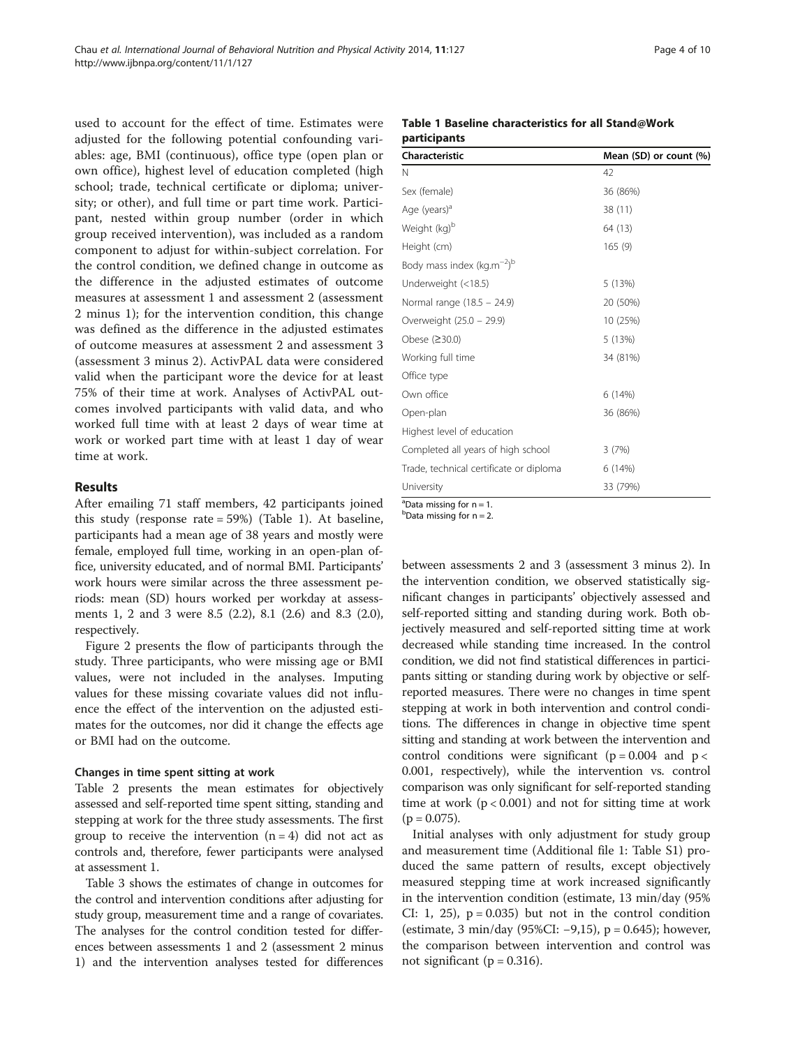used to account for the effect of time. Estimates were adjusted for the following potential confounding variables: age, BMI (continuous), office type (open plan or own office), highest level of education completed (high school; trade, technical certificate or diploma; university; or other), and full time or part time work. Participant, nested within group number (order in which group received intervention), was included as a random component to adjust for within-subject correlation. For the control condition, we defined change in outcome as the difference in the adjusted estimates of outcome measures at assessment 1 and assessment 2 (assessment 2 minus 1); for the intervention condition, this change was defined as the difference in the adjusted estimates of outcome measures at assessment 2 and assessment 3 (assessment 3 minus 2). ActivPAL data were considered valid when the participant wore the device for at least 75% of their time at work. Analyses of ActivPAL outcomes involved participants with valid data, and who worked full time with at least 2 days of wear time at work or worked part time with at least 1 day of wear time at work.

#### Results

After emailing 71 staff members, 42 participants joined this study (response rate = 59%) (Table 1). At baseline, participants had a mean age of 38 years and mostly were female, employed full time, working in an open-plan office, university educated, and of normal BMI. Participants' work hours were similar across the three assessment periods: mean (SD) hours worked per workday at assessments 1, 2 and 3 were 8.5 (2.2), 8.1 (2.6) and 8.3 (2.0), respectively.

Figure [2](#page-4-0) presents the flow of participants through the study. Three participants, who were missing age or BMI values, were not included in the analyses. Imputing values for these missing covariate values did not influence the effect of the intervention on the adjusted estimates for the outcomes, nor did it change the effects age or BMI had on the outcome.

#### Changes in time spent sitting at work

Table [2](#page-5-0) presents the mean estimates for objectively assessed and self-reported time spent sitting, standing and stepping at work for the three study assessments. The first group to receive the intervention  $(n = 4)$  did not act as controls and, therefore, fewer participants were analysed at assessment 1.

Table [3](#page-6-0) shows the estimates of change in outcomes for the control and intervention conditions after adjusting for study group, measurement time and a range of covariates. The analyses for the control condition tested for differences between assessments 1 and 2 (assessment 2 minus 1) and the intervention analyses tested for differences

## Table 1 Baseline characteristics for all Stand@Work participants

| Characteristic                                     | Mean (SD) or count (%) |  |  |  |  |
|----------------------------------------------------|------------------------|--|--|--|--|
| N                                                  | 42                     |  |  |  |  |
| Sex (female)                                       | 36 (86%)               |  |  |  |  |
| Age (years) <sup>d</sup>                           | 38 (11)                |  |  |  |  |
| Weight (kg) <sup>b</sup>                           | 64 (13)                |  |  |  |  |
| Height (cm)                                        | 165(9)                 |  |  |  |  |
| Body mass index (kg.m <sup><math>-2</math>)b</sup> |                        |  |  |  |  |
| Underweight (<18.5)                                | 5 (13%)                |  |  |  |  |
| Normal range (18.5 - 24.9)                         | 20 (50%)               |  |  |  |  |
| Overweight (25.0 - 29.9)                           | 10 (25%)               |  |  |  |  |
| Obese (≥30.0)                                      | 5 (13%)                |  |  |  |  |
| Working full time                                  | 34 (81%)               |  |  |  |  |
| Office type                                        |                        |  |  |  |  |
| Own office                                         | 6(14%)                 |  |  |  |  |
| Open-plan                                          | 36 (86%)               |  |  |  |  |
| Highest level of education                         |                        |  |  |  |  |
| Completed all years of high school                 | 3(7%)                  |  |  |  |  |
| Trade, technical certificate or diploma            | 6 (14%)                |  |  |  |  |
| University                                         | 33 (79%)               |  |  |  |  |

 $a^2$ Data missing for  $n = 1$ .

 $b$ Data missing for  $n = 2$ .

between assessments 2 and 3 (assessment 3 minus 2). In the intervention condition, we observed statistically significant changes in participants' objectively assessed and self-reported sitting and standing during work. Both objectively measured and self-reported sitting time at work decreased while standing time increased. In the control condition, we did not find statistical differences in participants sitting or standing during work by objective or selfreported measures. There were no changes in time spent stepping at work in both intervention and control conditions. The differences in change in objective time spent sitting and standing at work between the intervention and control conditions were significant ( $p = 0.004$  and  $p <$ 0.001, respectively), while the intervention vs. control comparison was only significant for self-reported standing time at work  $(p < 0.001)$  and not for sitting time at work  $(p = 0.075)$ .

Initial analyses with only adjustment for study group and measurement time (Additional file [1:](#page-7-0) Table S1) produced the same pattern of results, except objectively measured stepping time at work increased significantly in the intervention condition (estimate, 13 min/day (95% CI: 1, 25),  $p = 0.035$  but not in the control condition (estimate, 3 min/day (95%CI: −9,15), p = 0.645); however, the comparison between intervention and control was not significant ( $p = 0.316$ ).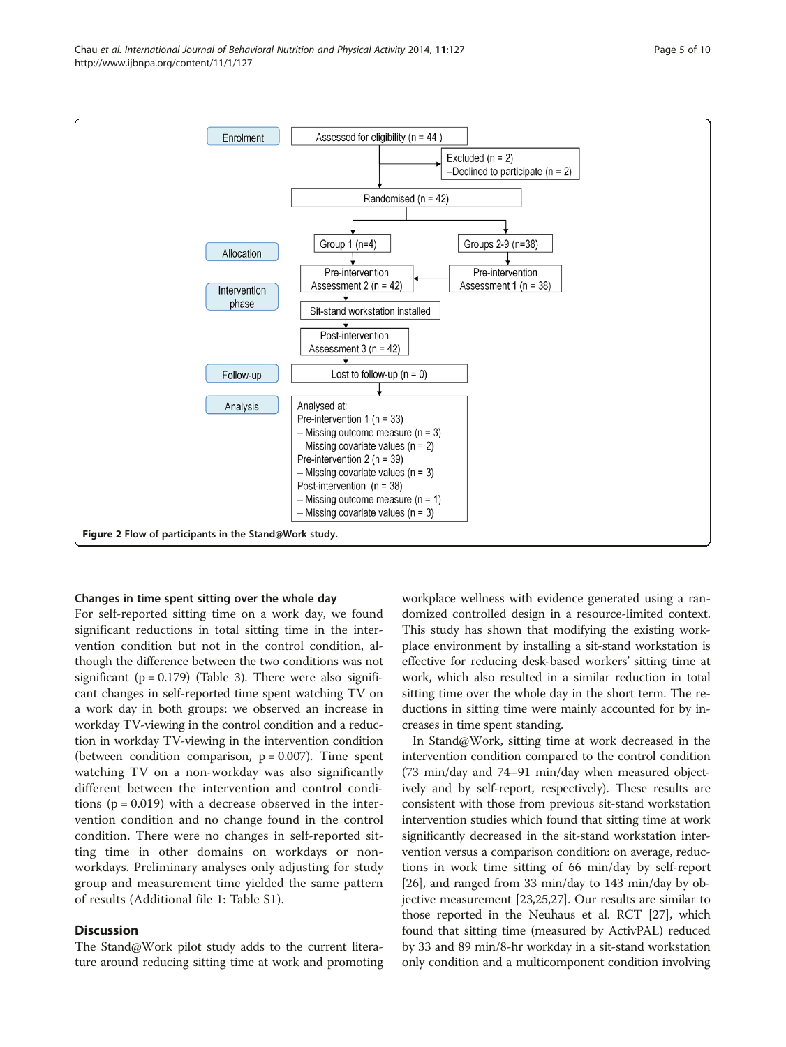<span id="page-4-0"></span>

#### Changes in time spent sitting over the whole day

For self-reported sitting time on a work day, we found significant reductions in total sitting time in the intervention condition but not in the control condition, although the difference between the two conditions was not significant ( $p = 0.179$ ) (Table [3](#page-6-0)). There were also significant changes in self-reported time spent watching TV on a work day in both groups: we observed an increase in workday TV-viewing in the control condition and a reduction in workday TV-viewing in the intervention condition (between condition comparison,  $p = 0.007$ ). Time spent watching TV on a non-workday was also significantly different between the intervention and control conditions  $(p = 0.019)$  with a decrease observed in the intervention condition and no change found in the control condition. There were no changes in self-reported sitting time in other domains on workdays or nonworkdays. Preliminary analyses only adjusting for study group and measurement time yielded the same pattern of results (Additional file [1](#page-7-0): Table S1).

## **Discussion**

The Stand@Work pilot study adds to the current literature around reducing sitting time at work and promoting workplace wellness with evidence generated using a randomized controlled design in a resource-limited context. This study has shown that modifying the existing workplace environment by installing a sit-stand workstation is effective for reducing desk-based workers' sitting time at work, which also resulted in a similar reduction in total sitting time over the whole day in the short term. The reductions in sitting time were mainly accounted for by increases in time spent standing.

In Stand@Work, sitting time at work decreased in the intervention condition compared to the control condition (73 min/day and 74–91 min/day when measured objectively and by self-report, respectively). These results are consistent with those from previous sit-stand workstation intervention studies which found that sitting time at work significantly decreased in the sit-stand workstation intervention versus a comparison condition: on average, reductions in work time sitting of 66 min/day by self-report [[26](#page-8-0)], and ranged from 33 min/day to 143 min/day by objective measurement [\[23,25,27](#page-8-0)]. Our results are similar to those reported in the Neuhaus et al. RCT [[27](#page-8-0)], which found that sitting time (measured by ActivPAL) reduced by 33 and 89 min/8-hr workday in a sit-stand workstation only condition and a multicomponent condition involving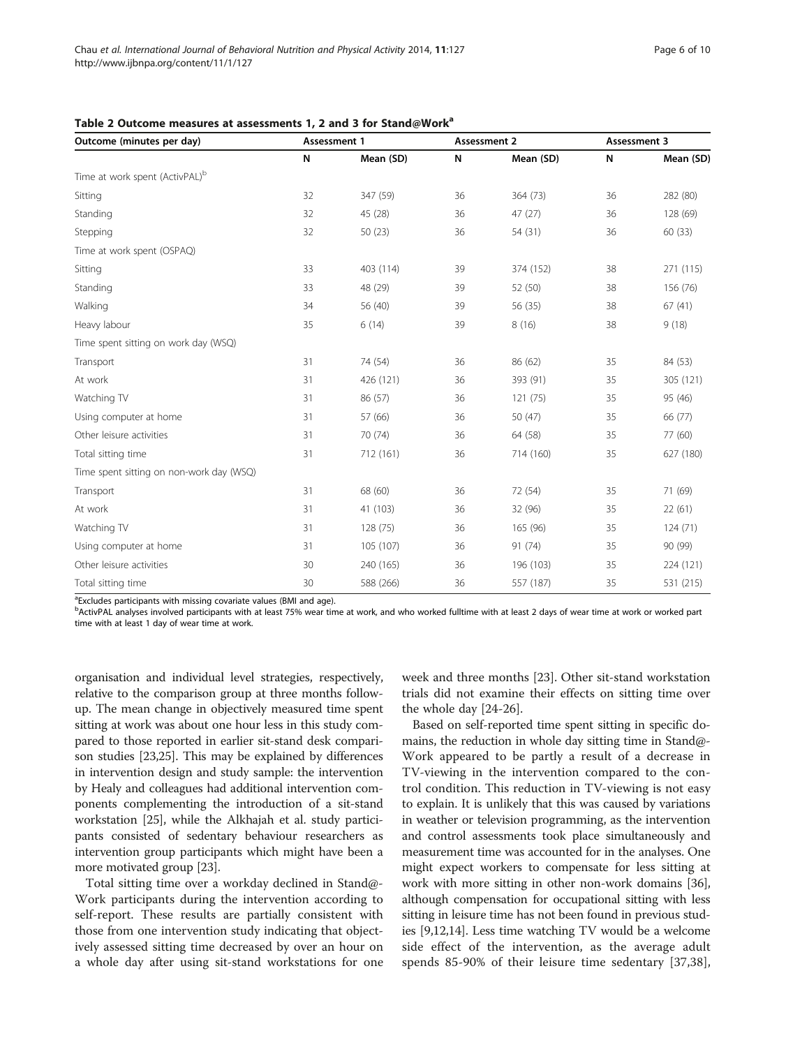| Outcome (minutes per day)                  | Assessment 1 |           |    | <b>Assessment 2</b> |    | Assessment 3 |  |
|--------------------------------------------|--------------|-----------|----|---------------------|----|--------------|--|
|                                            | N            | Mean (SD) | N  | Mean (SD)           | N  | Mean (SD)    |  |
| Time at work spent (ActivPAL) <sup>b</sup> |              |           |    |                     |    |              |  |
| Sitting                                    | 32           | 347 (59)  | 36 | 364 (73)            | 36 | 282 (80)     |  |
| Standing                                   | 32           | 45 (28)   | 36 | 47(27)              | 36 | 128 (69)     |  |
| Stepping                                   | 32           | 50(23)    | 36 | 54 (31)             | 36 | 60(33)       |  |
| Time at work spent (OSPAQ)                 |              |           |    |                     |    |              |  |
| Sitting                                    | 33           | 403 (114) | 39 | 374 (152)           | 38 | 271 (115)    |  |
| Standing                                   | 33           | 48 (29)   | 39 | 52 (50)             | 38 | 156 (76)     |  |
| Walking                                    | 34           | 56 (40)   | 39 | 56 (35)             | 38 | 67(41)       |  |
| Heavy labour                               | 35           | 6(14)     | 39 | 8(16)               | 38 | 9(18)        |  |
| Time spent sitting on work day (WSQ)       |              |           |    |                     |    |              |  |
| Transport                                  | 31           | 74 (54)   | 36 | 86 (62)             | 35 | 84 (53)      |  |
| At work                                    | 31           | 426 (121) | 36 | 393 (91)            | 35 | 305 (121)    |  |
| Watching TV                                | 31           | 86 (57)   | 36 | 121 (75)            | 35 | 95 (46)      |  |
| Using computer at home                     | 31           | 57 (66)   | 36 | 50 (47)             | 35 | 66 (77)      |  |
| Other leisure activities                   | 31           | 70 (74)   | 36 | 64 (58)             | 35 | 77 (60)      |  |
| Total sitting time                         | 31           | 712 (161) | 36 | 714 (160)           | 35 | 627 (180)    |  |
| Time spent sitting on non-work day (WSQ)   |              |           |    |                     |    |              |  |
| Transport                                  | 31           | 68 (60)   | 36 | 72 (54)             | 35 | 71 (69)      |  |
| At work                                    | 31           | 41 (103)  | 36 | 32 (96)             | 35 | 22(61)       |  |
| Watching TV                                | 31           | 128 (75)  | 36 | 165 (96)            | 35 | 124(71)      |  |
| Using computer at home                     | 31           | 105 (107) | 36 | 91 (74)             | 35 | 90 (99)      |  |
| Other leisure activities                   | 30           | 240 (165) | 36 | 196 (103)           | 35 | 224 (121)    |  |
| Total sitting time                         | 30           | 588 (266) | 36 | 557 (187)           | 35 | 531 (215)    |  |

#### <span id="page-5-0"></span>Table 2 Outcome measures at assessments 1, 2 and 3 for Stand@Work<sup>a</sup>

a Excludes participants with missing covariate values (BMI and age).

b<br>ActivPAL analyses involved participants with at least 75% wear time at work, and who worked fulltime with at least 2 days of wear time at work or worked part time with at least 1 day of wear time at work.

organisation and individual level strategies, respectively, relative to the comparison group at three months followup. The mean change in objectively measured time spent sitting at work was about one hour less in this study compared to those reported in earlier sit-stand desk comparison studies [[23,25\]](#page-8-0). This may be explained by differences in intervention design and study sample: the intervention by Healy and colleagues had additional intervention components complementing the introduction of a sit-stand workstation [\[25\]](#page-8-0), while the Alkhajah et al. study participants consisted of sedentary behaviour researchers as intervention group participants which might have been a more motivated group [\[23\]](#page-8-0).

Total sitting time over a workday declined in Stand@- Work participants during the intervention according to self-report. These results are partially consistent with those from one intervention study indicating that objectively assessed sitting time decreased by over an hour on a whole day after using sit-stand workstations for one week and three months [\[23](#page-8-0)]. Other sit-stand workstation trials did not examine their effects on sitting time over the whole day [[24-26](#page-8-0)].

Based on self-reported time spent sitting in specific domains, the reduction in whole day sitting time in Stand@- Work appeared to be partly a result of a decrease in TV-viewing in the intervention compared to the control condition. This reduction in TV-viewing is not easy to explain. It is unlikely that this was caused by variations in weather or television programming, as the intervention and control assessments took place simultaneously and measurement time was accounted for in the analyses. One might expect workers to compensate for less sitting at work with more sitting in other non-work domains [[36](#page-8-0)], although compensation for occupational sitting with less sitting in leisure time has not been found in previous studies [[9,12,14\]](#page-8-0). Less time watching TV would be a welcome side effect of the intervention, as the average adult spends 85-90% of their leisure time sedentary [[37,38](#page-8-0)],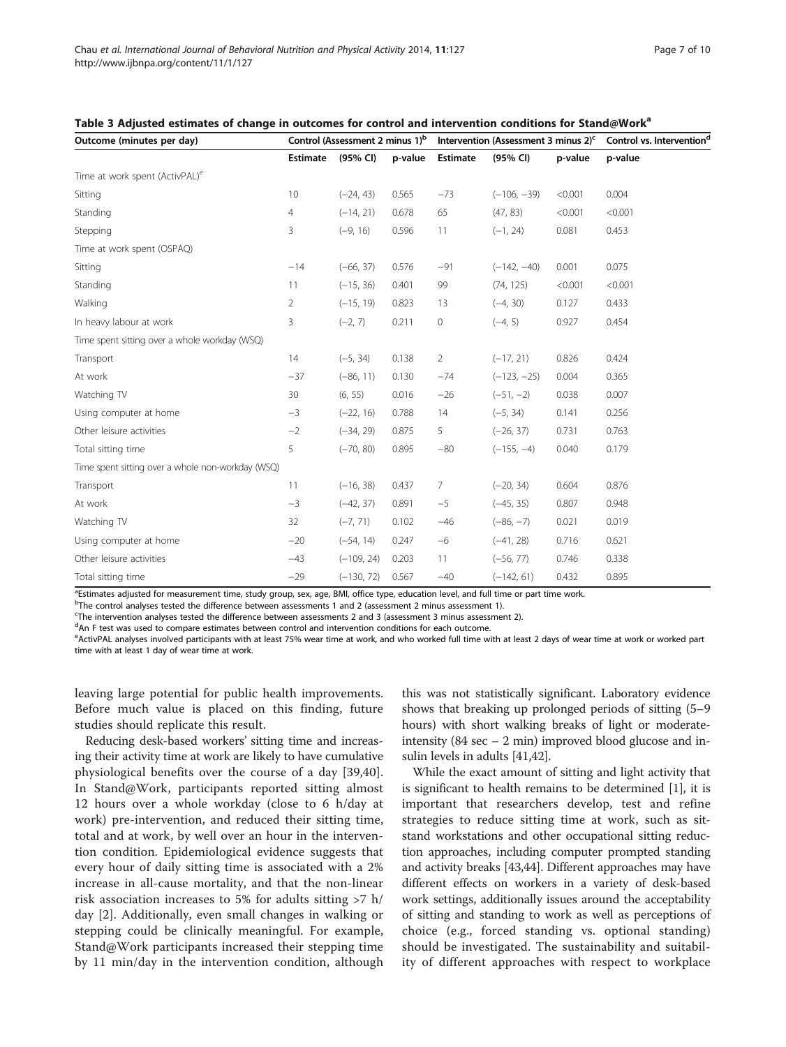| Outcome (minutes per day)                         | Control (Assessment 2 minus 1) <sup>b</sup> |              |         | Intervention (Assessment 3 minus 2) <sup>c</sup> |               |         | Control vs. Intervention <sup>d</sup> |  |
|---------------------------------------------------|---------------------------------------------|--------------|---------|--------------------------------------------------|---------------|---------|---------------------------------------|--|
|                                                   | <b>Estimate</b>                             | (95% CI)     | p-value | Estimate                                         | (95% CI)      | p-value | p-value                               |  |
| Time at work spent (ActivPAL) <sup>e</sup>        |                                             |              |         |                                                  |               |         |                                       |  |
| Sitting                                           | 10                                          | $(-24, 43)$  | 0.565   | $-73$                                            | $(-106, -39)$ | < 0.001 | 0.004                                 |  |
| Standing                                          | $\overline{4}$                              | $(-14, 21)$  | 0.678   | 65                                               | (47, 83)      | < 0.001 | < 0.001                               |  |
| Stepping                                          | 3                                           | $(-9, 16)$   | 0.596   | 11                                               | $(-1, 24)$    | 0.081   | 0.453                                 |  |
| Time at work spent (OSPAQ)                        |                                             |              |         |                                                  |               |         |                                       |  |
| Sitting                                           | $-14$                                       | $(-66, 37)$  | 0.576   | $-91$                                            | $(-142, -40)$ | 0.001   | 0.075                                 |  |
| Standing                                          | 11                                          | $(-15, 36)$  | 0.401   | 99                                               | (74, 125)     | < 0.001 | < 0.001                               |  |
| Walking                                           | $\overline{2}$                              | $(-15, 19)$  | 0.823   | 13                                               | $(-4, 30)$    | 0.127   | 0.433                                 |  |
| In heavy labour at work                           | 3                                           | $(-2, 7)$    | 0.211   | $\circ$                                          | $(-4, 5)$     | 0.927   | 0.454                                 |  |
| Time spent sitting over a whole workday (WSQ)     |                                             |              |         |                                                  |               |         |                                       |  |
| Transport                                         | 14                                          | $(-5, 34)$   | 0.138   | $\overline{2}$                                   | $(-17, 21)$   | 0.826   | 0.424                                 |  |
| At work                                           | $-37$                                       | $(-86, 11)$  | 0.130   | $-74$                                            | $(-123, -25)$ | 0.004   | 0.365                                 |  |
| Watching TV                                       | 30                                          | (6, 55)      | 0.016   | $-26$                                            | $(-51, -2)$   | 0.038   | 0.007                                 |  |
| Using computer at home                            | $-3$                                        | $(-22, 16)$  | 0.788   | 14                                               | $(-5, 34)$    | 0.141   | 0.256                                 |  |
| Other leisure activities                          | $-2$                                        | $(-34, 29)$  | 0.875   | 5                                                | $(-26, 37)$   | 0.731   | 0.763                                 |  |
| Total sitting time                                | 5                                           | $(-70, 80)$  | 0.895   | $-80$                                            | $(-155, -4)$  | 0.040   | 0.179                                 |  |
| Time spent sitting over a whole non-workday (WSQ) |                                             |              |         |                                                  |               |         |                                       |  |
| Transport                                         | 11                                          | $(-16, 38)$  | 0.437   | $\overline{7}$                                   | $(-20, 34)$   | 0.604   | 0.876                                 |  |
| At work                                           | $-3$                                        | $(-42, 37)$  | 0.891   | $-5$                                             | $(-45, 35)$   | 0.807   | 0.948                                 |  |
| Watching TV                                       | 32                                          | $(-7, 71)$   | 0.102   | $-46$                                            | $(-86, -7)$   | 0.021   | 0.019                                 |  |
| Using computer at home                            | $-20$                                       | $(-54, 14)$  | 0.247   | $-6$                                             | $(-41, 28)$   | 0.716   | 0.621                                 |  |
| Other leisure activities                          | $-43$                                       | $(-109, 24)$ | 0.203   | 11                                               | $(-56, 77)$   | 0.746   | 0.338                                 |  |
| Total sitting time                                | $-29$                                       | $(-130, 72)$ | 0.567   | $-40$                                            | $(-142, 61)$  | 0.432   | 0.895                                 |  |

<span id="page-6-0"></span>Table 3 Adjusted estimates of change in outcomes for control and intervention conditions for Stand@Work<sup>a</sup>

<sup>a</sup>Estimates adjusted for measurement time, study group, sex, age, BMI, office type, education level, and full time or part time work.

<sup>b</sup>The control analyses tested the difference between assessments 1 and 2 (assessment 2 minus assessment 1).

c The intervention analyses tested the difference between assessments 2 and 3 (assessment 3 minus assessment 2).

<sup>d</sup>An F test was used to compare estimates between control and intervention conditions for each outcome.

e ActivPAL analyses involved participants with at least 75% wear time at work, and who worked full time with at least 2 days of wear time at work or worked part time with at least 1 day of wear time at work.

leaving large potential for public health improvements. Before much value is placed on this finding, future studies should replicate this result.

Reducing desk-based workers' sitting time and increasing their activity time at work are likely to have cumulative physiological benefits over the course of a day [[39,40](#page-8-0)]. In Stand@Work, participants reported sitting almost 12 hours over a whole workday (close to 6 h/day at work) pre-intervention, and reduced their sitting time, total and at work, by well over an hour in the intervention condition. Epidemiological evidence suggests that every hour of daily sitting time is associated with a 2% increase in all-cause mortality, and that the non-linear risk association increases to 5% for adults sitting >7 h/ day [[2\]](#page-8-0). Additionally, even small changes in walking or stepping could be clinically meaningful. For example, Stand@Work participants increased their stepping time by 11 min/day in the intervention condition, although

this was not statistically significant. Laboratory evidence shows that breaking up prolonged periods of sitting (5–9 hours) with short walking breaks of light or moderateintensity  $(84 \text{ sec} - 2 \text{ min})$  improved blood glucose and insulin levels in adults [\[41,42](#page-8-0)].

While the exact amount of sitting and light activity that is significant to health remains to be determined [[1\]](#page-8-0), it is important that researchers develop, test and refine strategies to reduce sitting time at work, such as sitstand workstations and other occupational sitting reduction approaches, including computer prompted standing and activity breaks [\[43,44\]](#page-9-0). Different approaches may have different effects on workers in a variety of desk-based work settings, additionally issues around the acceptability of sitting and standing to work as well as perceptions of choice (e.g., forced standing vs. optional standing) should be investigated. The sustainability and suitability of different approaches with respect to workplace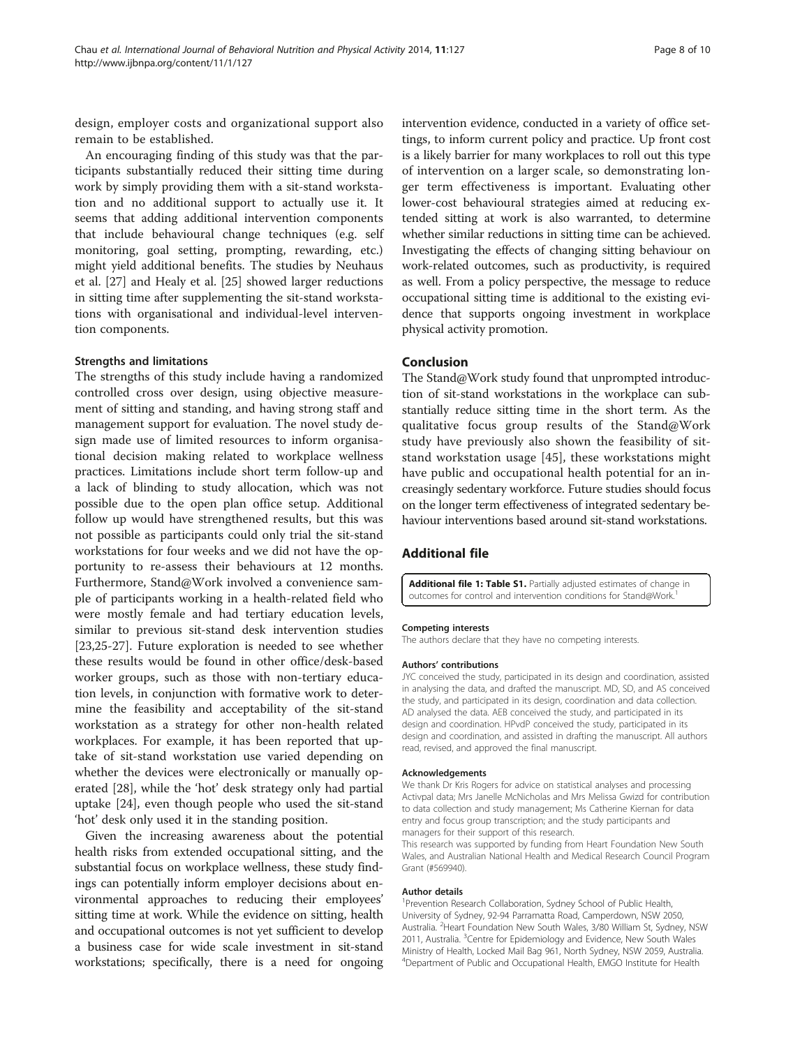<span id="page-7-0"></span>design, employer costs and organizational support also remain to be established.

An encouraging finding of this study was that the participants substantially reduced their sitting time during work by simply providing them with a sit-stand workstation and no additional support to actually use it. It seems that adding additional intervention components that include behavioural change techniques (e.g. self monitoring, goal setting, prompting, rewarding, etc.) might yield additional benefits. The studies by Neuhaus et al. [\[27\]](#page-8-0) and Healy et al. [[25](#page-8-0)] showed larger reductions in sitting time after supplementing the sit-stand workstations with organisational and individual-level intervention components.

#### Strengths and limitations

The strengths of this study include having a randomized controlled cross over design, using objective measurement of sitting and standing, and having strong staff and management support for evaluation. The novel study design made use of limited resources to inform organisational decision making related to workplace wellness practices. Limitations include short term follow-up and a lack of blinding to study allocation, which was not possible due to the open plan office setup. Additional follow up would have strengthened results, but this was not possible as participants could only trial the sit-stand workstations for four weeks and we did not have the opportunity to re-assess their behaviours at 12 months. Furthermore, Stand@Work involved a convenience sample of participants working in a health-related field who were mostly female and had tertiary education levels, similar to previous sit-stand desk intervention studies [[23,25-27\]](#page-8-0). Future exploration is needed to see whether these results would be found in other office/desk-based worker groups, such as those with non-tertiary education levels, in conjunction with formative work to determine the feasibility and acceptability of the sit-stand workstation as a strategy for other non-health related workplaces. For example, it has been reported that uptake of sit-stand workstation use varied depending on whether the devices were electronically or manually operated [\[28](#page-8-0)], while the 'hot' desk strategy only had partial uptake [[24\]](#page-8-0), even though people who used the sit-stand 'hot' desk only used it in the standing position.

Given the increasing awareness about the potential health risks from extended occupational sitting, and the substantial focus on workplace wellness, these study findings can potentially inform employer decisions about environmental approaches to reducing their employees' sitting time at work. While the evidence on sitting, health and occupational outcomes is not yet sufficient to develop a business case for wide scale investment in sit-stand workstations; specifically, there is a need for ongoing

intervention evidence, conducted in a variety of office settings, to inform current policy and practice. Up front cost is a likely barrier for many workplaces to roll out this type of intervention on a larger scale, so demonstrating longer term effectiveness is important. Evaluating other lower-cost behavioural strategies aimed at reducing extended sitting at work is also warranted, to determine whether similar reductions in sitting time can be achieved. Investigating the effects of changing sitting behaviour on work-related outcomes, such as productivity, is required as well. From a policy perspective, the message to reduce occupational sitting time is additional to the existing evidence that supports ongoing investment in workplace physical activity promotion.

#### Conclusion

The Stand@Work study found that unprompted introduction of sit-stand workstations in the workplace can substantially reduce sitting time in the short term. As the qualitative focus group results of the Stand@Work study have previously also shown the feasibility of sitstand workstation usage [\[45](#page-9-0)], these workstations might have public and occupational health potential for an increasingly sedentary workforce. Future studies should focus on the longer term effectiveness of integrated sedentary behaviour interventions based around sit-stand workstations.

# Additional file

[Additional file 1: Table S1.](http://www.ijbnpa.org/content/supplementary/s12966-014-0127-7-s1.docx) Partially adjusted estimates of change in outcomes for control and intervention conditions for Stand@Work.<sup>1</sup>

#### Competing interests

The authors declare that they have no competing interests.

#### Authors' contributions

JYC conceived the study, participated in its design and coordination, assisted in analysing the data, and drafted the manuscript. MD, SD, and AS conceived the study, and participated in its design, coordination and data collection. AD analysed the data. AEB conceived the study, and participated in its design and coordination. HPvdP conceived the study, participated in its design and coordination, and assisted in drafting the manuscript. All authors read, revised, and approved the final manuscript.

#### Acknowledgements

We thank Dr Kris Rogers for advice on statistical analyses and processing Activpal data; Mrs Janelle McNicholas and Mrs Melissa Gwizd for contribution to data collection and study management; Ms Catherine Kiernan for data entry and focus group transcription; and the study participants and managers for their support of this research.

This research was supported by funding from Heart Foundation New South Wales, and Australian National Health and Medical Research Council Program Grant (#569940).

#### Author details

<sup>1</sup> Prevention Research Collaboration, Sydney School of Public Health University of Sydney, 92-94 Parramatta Road, Camperdown, NSW 2050, Australia. <sup>2</sup> Heart Foundation New South Wales, 3/80 William St, Sydney, NSW 2011, Australia. <sup>3</sup>Centre for Epidemiology and Evidence, New South Wales Ministry of Health, Locked Mail Bag 961, North Sydney, NSW 2059, Australia. 4 Department of Public and Occupational Health, EMGO Institute for Health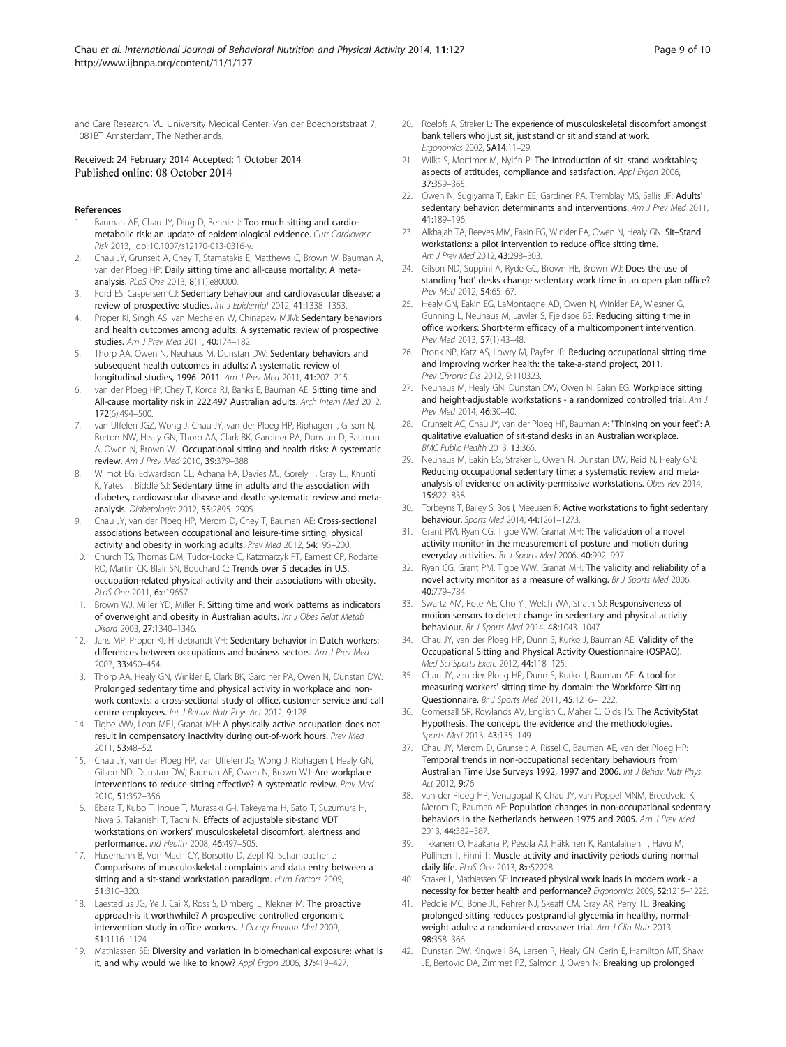<span id="page-8-0"></span>and Care Research, VU University Medical Center, Van der Boechorststraat 7, 1081BT Amsterdam, The Netherlands.

# Received: 24 February 2014 Accepted: 1 October 2014

#### References

- Bauman AE, Chau JY, Ding D, Bennie J: Too much sitting and cardiometabolic risk: an update of epidemiological evidence. Curr Cardiovasc Risk 2013, doi:10.1007/s12170-013-0316-y.
- 2. Chau JY, Grunseit A, Chey T, Stamatakis E, Matthews C, Brown W, Bauman A, van der Ploeg HP: Daily sitting time and all-cause mortality: A metaanalysis. PLoS One 2013, 8(11):e80000.
- 3. Ford ES, Caspersen CJ: Sedentary behaviour and cardiovascular disease: a review of prospective studies. Int J Epidemiol 2012, 41:1338-1353
- 4. Proper KI, Singh AS, van Mechelen W, Chinapaw MJM: Sedentary behaviors and health outcomes among adults: A systematic review of prospective studies. Am J Prev Med 2011, 40:174–182.
- 5. Thorp AA, Owen N, Neuhaus M, Dunstan DW: Sedentary behaviors and subsequent health outcomes in adults: A systematic review of longitudinal studies, 1996–2011. Am J Prev Med 2011, 41:207–215.
- van der Ploeg HP, Chey T, Korda RJ, Banks E, Bauman AE: Sitting time and All-cause mortality risk in 222,497 Australian adults. Arch Intern Med 2012, 172(6):494–500.
- 7. van Uffelen JGZ, Wong J, Chau JY, van der Ploeg HP, Riphagen I, Gilson N, Burton NW, Healy GN, Thorp AA, Clark BK, Gardiner PA, Dunstan D, Bauman A, Owen N, Brown WJ: Occupational sitting and health risks: A systematic review. Am J Prev Med 2010, 39:379–388.
- Wilmot EG, Edwardson CL, Achana FA, Davies MJ, Gorely T, Gray LJ, Khunti K, Yates T, Biddle SJ: Sedentary time in adults and the association with diabetes, cardiovascular disease and death: systematic review and metaanalysis. Diabetologia 2012, 55:2895–2905.
- 9. Chau JY, van der Ploeg HP, Merom D, Chey T, Bauman AE: Cross-sectional associations between occupational and leisure-time sitting, physical activity and obesity in working adults. Prev Med 2012, 54:195–200.
- 10. Church TS, Thomas DM, Tudor-Locke C, Katzmarzyk PT, Earnest CP, Rodarte RQ, Martin CK, Blair SN, Bouchard C: Trends over 5 decades in U.S. occupation-related physical activity and their associations with obesity. PLoS One 2011, 6:e19657
- 11. Brown WJ, Miller YD, Miller R: Sitting time and work patterns as indicators of overweight and obesity in Australian adults. Int J Obes Relat Metab Disord 2003, 27:1340–1346.
- 12. Jans MP, Proper KI, Hildebrandt VH: Sedentary behavior in Dutch workers: differences between occupations and business sectors. Am J Prev Med 2007, 33:450–454.
- 13. Thorp AA, Healy GN, Winkler E, Clark BK, Gardiner PA, Owen N, Dunstan DW: Prolonged sedentary time and physical activity in workplace and nonwork contexts: a cross-sectional study of office, customer service and call centre employees. Int J Behav Nutr Phys Act 2012, 9:128.
- 14. Tigbe WW, Lean MEJ, Granat MH: A physically active occupation does not result in compensatory inactivity during out-of-work hours. Prev Med 2011, 53:48–52.
- 15. Chau JY, van der Ploeg HP, van Uffelen JG, Wong J, Riphagen I, Healy GN, Gilson ND, Dunstan DW, Bauman AE, Owen N, Brown WJ: Are workplace interventions to reduce sitting effective? A systematic review. Prev Med 2010, 51:352–356.
- 16. Ebara T, Kubo T, Inoue T, Murasaki G-I, Takeyama H, Sato T, Suzumura H, Niwa S, Takanishi T, Tachi N: Effects of adjustable sit-stand VDT workstations on workers' musculoskeletal discomfort, alertness and performance. Ind Health 2008, 46:497–505.
- 17. Husemann B, Von Mach CY, Borsotto D, Zepf KI, Scharnbacher J: Comparisons of musculoskeletal complaints and data entry between a sitting and a sit-stand workstation paradigm. Hum Factors 2009, 51:310–320.
- 18. Laestadius JG, Ye J, Cai X, Ross S, Dimberg L, Klekner M: The proactive approach-is it worthwhile? A prospective controlled ergonomic intervention study in office workers. J Occup Environ Med 2009, 51:1116–1124.
- 19. Mathiassen SE: Diversity and variation in biomechanical exposure: what is it, and why would we like to know? Appl Ergon 2006, 37:419-427.
- 20. Roelofs A, Straker L: The experience of musculoskeletal discomfort amongst bank tellers who just sit, just stand or sit and stand at work. Ergonomics 2002, SA14:11–29.
- 21. Wilks S, Mortimer M, Nylén P: The introduction of sit-stand worktables; aspects of attitudes, compliance and satisfaction. Appl Ergon 2006, 37:359–365.
- 22. Owen N, Sugiyama T, Eakin EE, Gardiner PA, Tremblay MS, Sallis JF: Adults' sedentary behavior: determinants and interventions. Am J Prev Med 2011, 41:189–196.
- 23. Alkhajah TA, Reeves MM, Eakin EG, Winkler EA, Owen N, Healy GN: Sit-Stand workstations: a pilot intervention to reduce office sitting time. Am J Prev Med 2012, 43:298–303.
- 24. Gilson ND, Suppini A, Ryde GC, Brown HE, Brown WJ: Does the use of standing 'hot' desks change sedentary work time in an open plan office? Prev Med 2012, 54:65-67.
- 25. Healy GN, Eakin EG, LaMontagne AD, Owen N, Winkler EA, Wiesner G, Gunning L, Neuhaus M, Lawler S, Fjeldsoe BS: Reducing sitting time in office workers: Short-term efficacy of a multicomponent intervention. Prev Med 2013, 57(1):43–48.
- 26. Pronk NP, Katz AS, Lowry M, Payfer JR: Reducing occupational sitting time and improving worker health: the take-a-stand project, 2011. Prev Chronic Dis 2012, 9:110323.
- 27. Neuhaus M, Healy GN, Dunstan DW, Owen N, Eakin EG: Workplace sitting and height-adjustable workstations - a randomized controlled trial. Am J Prev Med 2014, 46:30–40.
- 28. Grunseit AC, Chau JY, van der Ploeg HP, Bauman A: "Thinking on your feet": A qualitative evaluation of sit-stand desks in an Australian workplace. BMC Public Health 2013, 13:365.
- 29. Neuhaus M, Eakin EG, Straker L, Owen N, Dunstan DW, Reid N, Healy GN: Reducing occupational sedentary time: a systematic review and metaanalysis of evidence on activity-permissive workstations. Obes Rev 2014, 15:822–838.
- 30. Torbeyns T, Bailey S, Bos I, Meeusen R: Active workstations to fight sedentary behaviour. Sports Med 2014, 44:1261–1273.
- 31. Grant PM, Ryan CG, Tigbe WW, Granat MH: The validation of a novel activity monitor in the measurement of posture and motion during everyday activities. Br J Sports Med 2006, 40:992–997.
- 32. Ryan CG, Grant PM, Tigbe WW, Granat MH: The validity and reliability of a novel activity monitor as a measure of walking. Br J Sports Med 2006, 40:779–784.
- 33. Swartz AM, Rote AE, Cho YI, Welch WA, Strath SJ: Responsiveness of motion sensors to detect change in sedentary and physical activity behaviour. Br J Sports Med 2014, 48:1043–1047.
- 34. Chau JY, van der Ploeg HP, Dunn S, Kurko J, Bauman AE: Validity of the Occupational Sitting and Physical Activity Questionnaire (OSPAQ). Med Sci Sports Exerc 2012, 44:118–125.
- 35. Chau JY, van der Ploeg HP, Dunn S, Kurko J, Bauman AE: A tool for measuring workers' sitting time by domain: the Workforce Sitting Questionnaire. Br J Sports Med 2011, 45:1216–1222.
- 36. Gomersall SR, Rowlands AV, English C, Maher C, Olds TS: The ActivityStat Hypothesis. The concept, the evidence and the methodologies. Sports Med 2013, 43:135–149.
- 37. Chau JY, Merom D, Grunseit A, Rissel C, Bauman AE, van der Ploeg HP: Temporal trends in non-occupational sedentary behaviours from Australian Time Use Surveys 1992, 1997 and 2006. Int J Behav Nutr Phys Act 2012, 9:76.
- 38. van der Ploeg HP, Venugopal K, Chau JY, van Poppel MNM, Breedveld K, Merom D, Bauman AE: Population changes in non-occupational sedentary behaviors in the Netherlands between 1975 and 2005. Am J Prev Med 2013, 44:382–387.
- 39. Tikkanen O, Haakana P, Pesola AJ, Häkkinen K, Rantalainen T, Havu M, Pullinen T, Finni T: Muscle activity and inactivity periods during normal daily life. PLoS One 2013, 8:e52228.
- 40. Straker L, Mathiassen SE: Increased physical work loads in modern work a necessity for better health and performance? Ergonomics 2009, 52:1215–1225.
- 41. Peddie MC, Bone JL, Rehrer NJ, Skeaff CM, Gray AR, Perry TL: Breaking prolonged sitting reduces postprandial glycemia in healthy, normalweight adults: a randomized crossover trial. Am J Clin Nutr 2013, 98:358–366.
- 42. Dunstan DW, Kingwell BA, Larsen R, Healy GN, Cerin E, Hamilton MT, Shaw JE, Bertovic DA, Zimmet PZ, Salmon J, Owen N: Breaking up prolonged